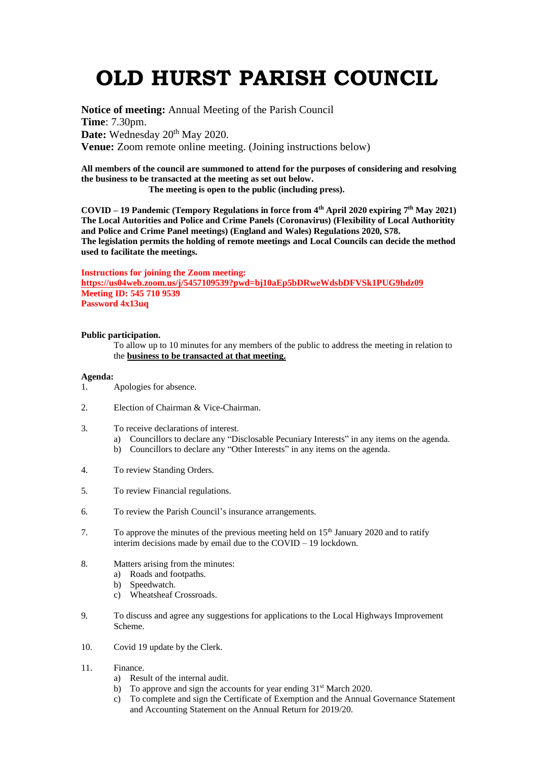## **OLD HURST PARISH COUNCIL**

**Notice of meeting:** Annual Meeting of the Parish Council **Time**: 7.30pm. Date: Wednesday 20<sup>th</sup> May 2020. **Venue:** Zoom remote online meeting. (Joining instructions below)

**All members of the council are summoned to attend for the purposes of considering and resolving the business to be transacted at the meeting as set out below.**

 **The meeting is open to the public (including press).**

**COVID – 19 Pandemic (Tempory Regulations in force from 4th April 2020 expiring 7 th May 2021) The Local Autorities and Police and Crime Panels (Coronavirus) (Flexibility of Local Authoritity and Police and Crime Panel meetings) (England and Wales) Regulations 2020, S78. The legislation permits the holding of remote meetings and Local Councils can decide the method used to facilitate the meetings.** 

## **Instructions for joining the Zoom meeting:**

**<https://us04web.zoom.us/j/5457109539?pwd=bj10aEp5bDRweWdsbDFVSk1PUG9hdz09> Meeting ID: 545 710 9539 Password 4x13uq**

## **Public participation.**

To allow up to 10 minutes for any members of the public to address the meeting in relation to the **business to be transacted at that meeting.** 

## **Agenda:**

- 1. Apologies for absence.
- 2. Election of Chairman & Vice-Chairman.
- 3. To receive declarations of interest.
	- a) Councillors to declare any "Disclosable Pecuniary Interests" in any items on the agenda.
		- b) Councillors to declare any "Other Interests" in any items on the agenda.
- 4. To review Standing Orders.
- 5. To review Financial regulations.
- 6. To review the Parish Council's insurance arrangements.
- 7. To approve the minutes of the previous meeting held on 15<sup>th</sup> January 2020 and to ratify interim decisions made by email due to the COVID – 19 lockdown.
- 8. Matters arising from the minutes:
	- a) Roads and footpaths.
	- b) Speedwatch.
	- c) Wheatsheaf Crossroads.
- 9. To discuss and agree any suggestions for applications to the Local Highways Improvement Scheme.
- 10. Covid 19 update by the Clerk.
- 11. Finance.
	- a) Result of the internal audit.
	- b) To approve and sign the accounts for year ending 31<sup>st</sup> March 2020.
	- c) To complete and sign the Certificate of Exemption and the Annual Governance Statement and Accounting Statement on the Annual Return for 2019/20.